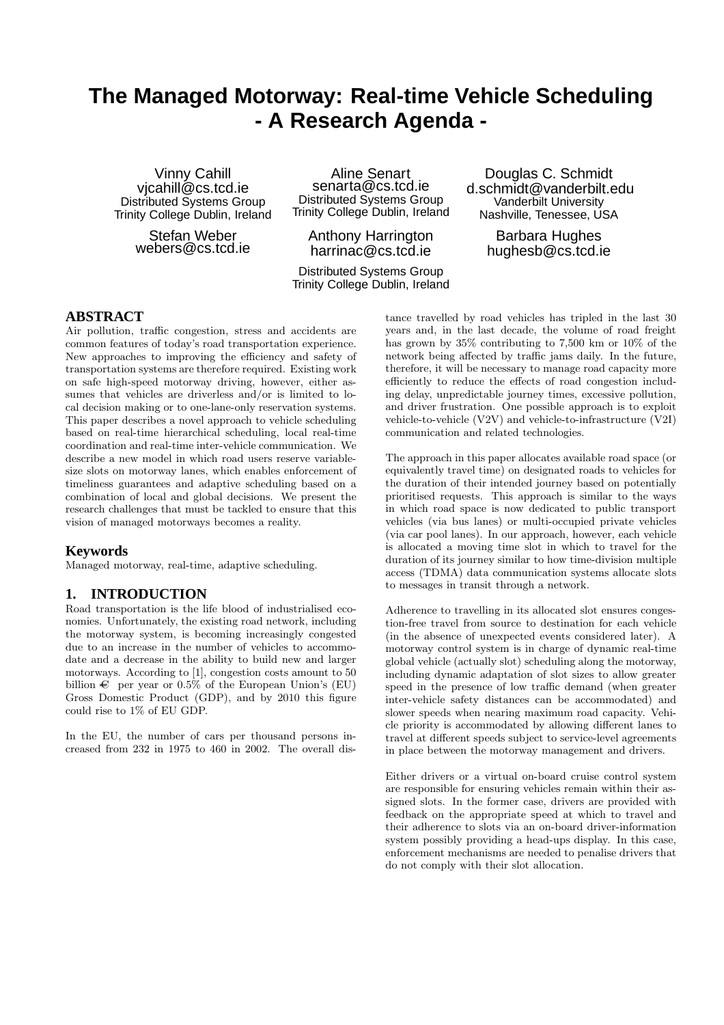# **The Managed Motorway: Real-time Vehicle Scheduling - A Research Agenda -**

Vinny Cahill vjcahill@cs.tcd.ie Distributed Systems Group Trinity College Dublin, Ireland

> Stefan Weber webers@cs.tcd.ie

Aline Senart senarta@cs.tcd.ie Distributed Systems Group Trinity College Dublin, Ireland

Anthony Harrington harrinac@cs.tcd.ie

Distributed Systems Group Trinity College Dublin, Ireland

Douglas C. Schmidt d.schmidt@vanderbilt.edu Vanderbilt University Nashville, Tenessee, USA

> Barbara Hughes hughesb@cs.tcd.ie

# **ABSTRACT**

Air pollution, traffic congestion, stress and accidents are common features of today's road transportation experience. New approaches to improving the efficiency and safety of transportation systems are therefore required. Existing work on safe high-speed motorway driving, however, either assumes that vehicles are driverless and/or is limited to local decision making or to one-lane-only reservation systems. This paper describes a novel approach to vehicle scheduling based on real-time hierarchical scheduling, local real-time coordination and real-time inter-vehicle communication. We describe a new model in which road users reserve variablesize slots on motorway lanes, which enables enforcement of timeliness guarantees and adaptive scheduling based on a combination of local and global decisions. We present the research challenges that must be tackled to ensure that this vision of managed motorways becomes a reality.

## **Keywords**

Managed motorway, real-time, adaptive scheduling.

#### **1. INTRODUCTION**

Road transportation is the life blood of industrialised economies. Unfortunately, the existing road network, including the motorway system, is becoming increasingly congested due to an increase in the number of vehicles to accommodate and a decrease in the ability to build new and larger motorways. According to [1], congestion costs amount to 50 billion  $\epsilon$  per year or 0.5% of the European Union's (EU) Gross Domestic Product (GDP), and by 2010 this figure could rise to 1% of EU GDP.

In the EU, the number of cars per thousand persons increased from 232 in 1975 to 460 in 2002. The overall dis-

tance travelled by road vehicles has tripled in the last 30 years and, in the last decade, the volume of road freight has grown by 35% contributing to 7,500 km or 10% of the network being affected by traffic jams daily. In the future, therefore, it will be necessary to manage road capacity more efficiently to reduce the effects of road congestion including delay, unpredictable journey times, excessive pollution, and driver frustration. One possible approach is to exploit vehicle-to-vehicle (V2V) and vehicle-to-infrastructure (V2I) communication and related technologies.

The approach in this paper allocates available road space (or equivalently travel time) on designated roads to vehicles for the duration of their intended journey based on potentially prioritised requests. This approach is similar to the ways in which road space is now dedicated to public transport vehicles (via bus lanes) or multi-occupied private vehicles (via car pool lanes). In our approach, however, each vehicle is allocated a moving time slot in which to travel for the duration of its journey similar to how time-division multiple access (TDMA) data communication systems allocate slots to messages in transit through a network.

Adherence to travelling in its allocated slot ensures congestion-free travel from source to destination for each vehicle (in the absence of unexpected events considered later). A motorway control system is in charge of dynamic real-time global vehicle (actually slot) scheduling along the motorway, including dynamic adaptation of slot sizes to allow greater speed in the presence of low traffic demand (when greater inter-vehicle safety distances can be accommodated) and slower speeds when nearing maximum road capacity. Vehicle priority is accommodated by allowing different lanes to travel at different speeds subject to service-level agreements in place between the motorway management and drivers.

Either drivers or a virtual on-board cruise control system are responsible for ensuring vehicles remain within their assigned slots. In the former case, drivers are provided with feedback on the appropriate speed at which to travel and their adherence to slots via an on-board driver-information system possibly providing a head-ups display. In this case, enforcement mechanisms are needed to penalise drivers that do not comply with their slot allocation.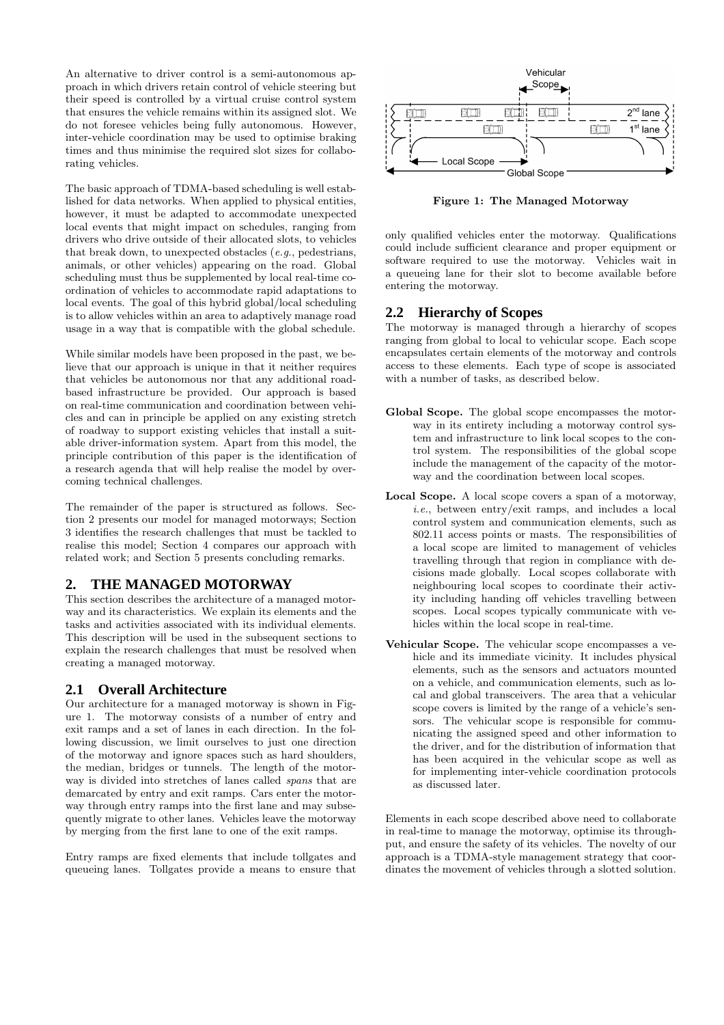An alternative to driver control is a semi-autonomous approach in which drivers retain control of vehicle steering but their speed is controlled by a virtual cruise control system that ensures the vehicle remains within its assigned slot. We do not foresee vehicles being fully autonomous. However, inter-vehicle coordination may be used to optimise braking times and thus minimise the required slot sizes for collaborating vehicles.

The basic approach of TDMA-based scheduling is well established for data networks. When applied to physical entities, however, it must be adapted to accommodate unexpected local events that might impact on schedules, ranging from drivers who drive outside of their allocated slots, to vehicles that break down, to unexpected obstacles  $(e.g.,$  pedestrians, animals, or other vehicles) appearing on the road. Global scheduling must thus be supplemented by local real-time coordination of vehicles to accommodate rapid adaptations to local events. The goal of this hybrid global/local scheduling is to allow vehicles within an area to adaptively manage road usage in a way that is compatible with the global schedule.

While similar models have been proposed in the past, we believe that our approach is unique in that it neither requires that vehicles be autonomous nor that any additional roadbased infrastructure be provided. Our approach is based on real-time communication and coordination between vehicles and can in principle be applied on any existing stretch of roadway to support existing vehicles that install a suitable driver-information system. Apart from this model, the principle contribution of this paper is the identification of a research agenda that will help realise the model by overcoming technical challenges.

The remainder of the paper is structured as follows. Section 2 presents our model for managed motorways; Section 3 identifies the research challenges that must be tackled to realise this model; Section 4 compares our approach with related work; and Section 5 presents concluding remarks.

# **2. THE MANAGED MOTORWAY**

This section describes the architecture of a managed motorway and its characteristics. We explain its elements and the tasks and activities associated with its individual elements. This description will be used in the subsequent sections to explain the research challenges that must be resolved when creating a managed motorway.

# **2.1 Overall Architecture**

Our architecture for a managed motorway is shown in Figure 1. The motorway consists of a number of entry and exit ramps and a set of lanes in each direction. In the following discussion, we limit ourselves to just one direction of the motorway and ignore spaces such as hard shoulders, the median, bridges or tunnels. The length of the motorway is divided into stretches of lanes called spans that are demarcated by entry and exit ramps. Cars enter the motorway through entry ramps into the first lane and may subsequently migrate to other lanes. Vehicles leave the motorway by merging from the first lane to one of the exit ramps.

Entry ramps are fixed elements that include tollgates and queueing lanes. Tollgates provide a means to ensure that



Figure 1: The Managed Motorway

only qualified vehicles enter the motorway. Qualifications could include sufficient clearance and proper equipment or software required to use the motorway. Vehicles wait in a queueing lane for their slot to become available before entering the motorway.

# **2.2 Hierarchy of Scopes**

The motorway is managed through a hierarchy of scopes ranging from global to local to vehicular scope. Each scope encapsulates certain elements of the motorway and controls access to these elements. Each type of scope is associated with a number of tasks, as described below.

- Global Scope. The global scope encompasses the motorway in its entirety including a motorway control system and infrastructure to link local scopes to the control system. The responsibilities of the global scope include the management of the capacity of the motorway and the coordination between local scopes.
- Local Scope. A local scope covers a span of a motorway, i.e., between entry/exit ramps, and includes a local control system and communication elements, such as 802.11 access points or masts. The responsibilities of a local scope are limited to management of vehicles travelling through that region in compliance with decisions made globally. Local scopes collaborate with neighbouring local scopes to coordinate their activity including handing off vehicles travelling between scopes. Local scopes typically communicate with vehicles within the local scope in real-time.
- Vehicular Scope. The vehicular scope encompasses a vehicle and its immediate vicinity. It includes physical elements, such as the sensors and actuators mounted on a vehicle, and communication elements, such as local and global transceivers. The area that a vehicular scope covers is limited by the range of a vehicle's sensors. The vehicular scope is responsible for communicating the assigned speed and other information to the driver, and for the distribution of information that has been acquired in the vehicular scope as well as for implementing inter-vehicle coordination protocols as discussed later.

Elements in each scope described above need to collaborate in real-time to manage the motorway, optimise its throughput, and ensure the safety of its vehicles. The novelty of our approach is a TDMA-style management strategy that coordinates the movement of vehicles through a slotted solution.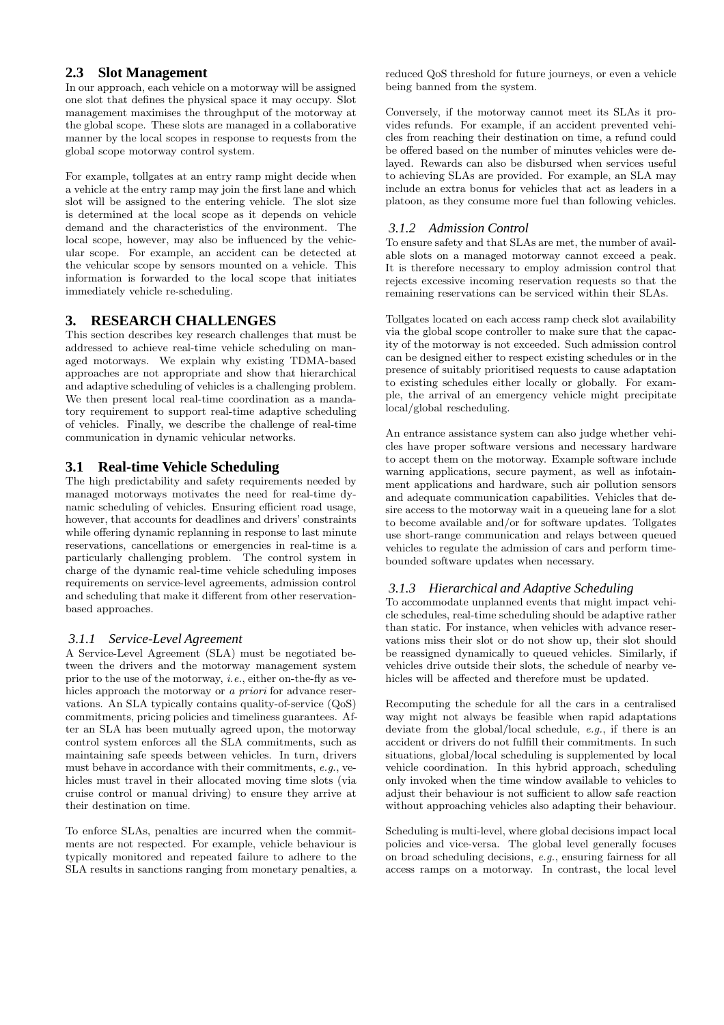#### **2.3 Slot Management**

In our approach, each vehicle on a motorway will be assigned one slot that defines the physical space it may occupy. Slot management maximises the throughput of the motorway at the global scope. These slots are managed in a collaborative manner by the local scopes in response to requests from the global scope motorway control system.

For example, tollgates at an entry ramp might decide when a vehicle at the entry ramp may join the first lane and which slot will be assigned to the entering vehicle. The slot size is determined at the local scope as it depends on vehicle demand and the characteristics of the environment. The local scope, however, may also be influenced by the vehicular scope. For example, an accident can be detected at the vehicular scope by sensors mounted on a vehicle. This information is forwarded to the local scope that initiates immediately vehicle re-scheduling.

# **3. RESEARCH CHALLENGES**

This section describes key research challenges that must be addressed to achieve real-time vehicle scheduling on managed motorways. We explain why existing TDMA-based approaches are not appropriate and show that hierarchical and adaptive scheduling of vehicles is a challenging problem. We then present local real-time coordination as a mandatory requirement to support real-time adaptive scheduling of vehicles. Finally, we describe the challenge of real-time communication in dynamic vehicular networks.

# **3.1 Real-time Vehicle Scheduling**

The high predictability and safety requirements needed by managed motorways motivates the need for real-time dynamic scheduling of vehicles. Ensuring efficient road usage, however, that accounts for deadlines and drivers' constraints while offering dynamic replanning in response to last minute reservations, cancellations or emergencies in real-time is a particularly challenging problem. The control system in charge of the dynamic real-time vehicle scheduling imposes requirements on service-level agreements, admission control and scheduling that make it different from other reservationbased approaches.

#### *3.1.1 Service-Level Agreement*

A Service-Level Agreement (SLA) must be negotiated between the drivers and the motorway management system prior to the use of the motorway, i.e., either on-the-fly as vehicles approach the motorway or a priori for advance reservations. An SLA typically contains quality-of-service (QoS) commitments, pricing policies and timeliness guarantees. After an SLA has been mutually agreed upon, the motorway control system enforces all the SLA commitments, such as maintaining safe speeds between vehicles. In turn, drivers must behave in accordance with their commitments, e.g., vehicles must travel in their allocated moving time slots (via cruise control or manual driving) to ensure they arrive at their destination on time.

To enforce SLAs, penalties are incurred when the commitments are not respected. For example, vehicle behaviour is typically monitored and repeated failure to adhere to the SLA results in sanctions ranging from monetary penalties, a

reduced QoS threshold for future journeys, or even a vehicle being banned from the system.

Conversely, if the motorway cannot meet its SLAs it provides refunds. For example, if an accident prevented vehicles from reaching their destination on time, a refund could be offered based on the number of minutes vehicles were delayed. Rewards can also be disbursed when services useful to achieving SLAs are provided. For example, an SLA may include an extra bonus for vehicles that act as leaders in a platoon, as they consume more fuel than following vehicles.

## *3.1.2 Admission Control*

To ensure safety and that SLAs are met, the number of available slots on a managed motorway cannot exceed a peak. It is therefore necessary to employ admission control that rejects excessive incoming reservation requests so that the remaining reservations can be serviced within their SLAs.

Tollgates located on each access ramp check slot availability via the global scope controller to make sure that the capacity of the motorway is not exceeded. Such admission control can be designed either to respect existing schedules or in the presence of suitably prioritised requests to cause adaptation to existing schedules either locally or globally. For example, the arrival of an emergency vehicle might precipitate local/global rescheduling.

An entrance assistance system can also judge whether vehicles have proper software versions and necessary hardware to accept them on the motorway. Example software include warning applications, secure payment, as well as infotainment applications and hardware, such air pollution sensors and adequate communication capabilities. Vehicles that desire access to the motorway wait in a queueing lane for a slot to become available and/or for software updates. Tollgates use short-range communication and relays between queued vehicles to regulate the admission of cars and perform timebounded software updates when necessary.

#### *3.1.3 Hierarchical and Adaptive Scheduling*

To accommodate unplanned events that might impact vehicle schedules, real-time scheduling should be adaptive rather than static. For instance, when vehicles with advance reservations miss their slot or do not show up, their slot should be reassigned dynamically to queued vehicles. Similarly, if vehicles drive outside their slots, the schedule of nearby vehicles will be affected and therefore must be updated.

Recomputing the schedule for all the cars in a centralised way might not always be feasible when rapid adaptations deviate from the global/local schedule, e.g., if there is an accident or drivers do not fulfill their commitments. In such situations, global/local scheduling is supplemented by local vehicle coordination. In this hybrid approach, scheduling only invoked when the time window available to vehicles to adjust their behaviour is not sufficient to allow safe reaction without approaching vehicles also adapting their behaviour.

Scheduling is multi-level, where global decisions impact local policies and vice-versa. The global level generally focuses on broad scheduling decisions, e.g., ensuring fairness for all access ramps on a motorway. In contrast, the local level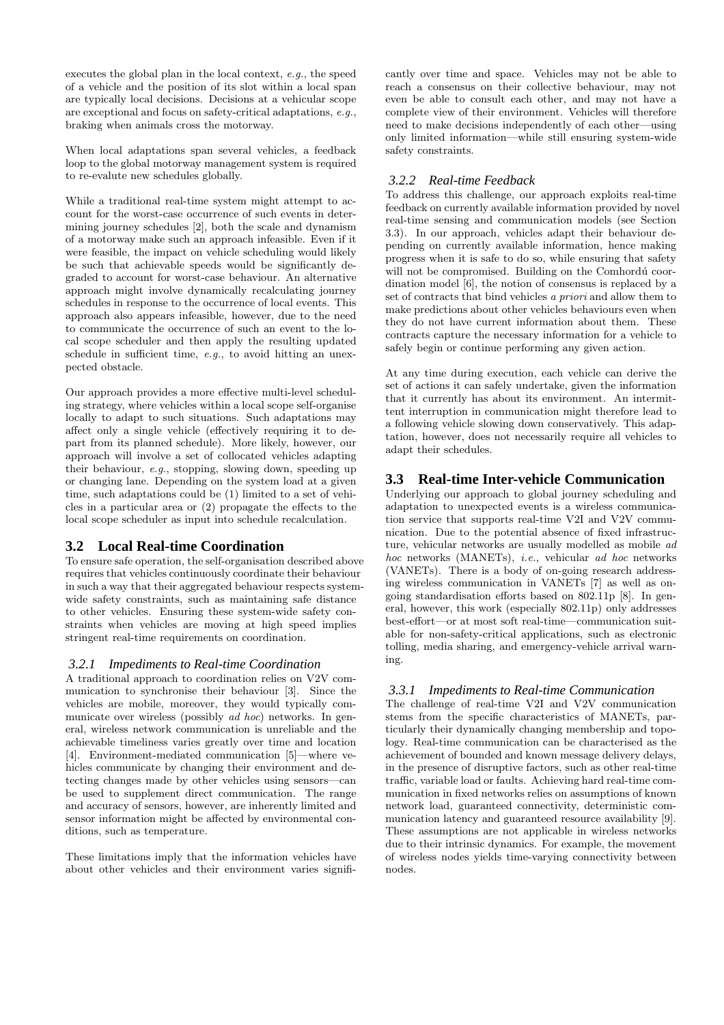executes the global plan in the local context, e.g., the speed of a vehicle and the position of its slot within a local span are typically local decisions. Decisions at a vehicular scope are exceptional and focus on safety-critical adaptations, e.g., braking when animals cross the motorway.

When local adaptations span several vehicles, a feedback loop to the global motorway management system is required to re-evalute new schedules globally.

While a traditional real-time system might attempt to account for the worst-case occurrence of such events in determining journey schedules [2], both the scale and dynamism of a motorway make such an approach infeasible. Even if it were feasible, the impact on vehicle scheduling would likely be such that achievable speeds would be significantly degraded to account for worst-case behaviour. An alternative approach might involve dynamically recalculating journey schedules in response to the occurrence of local events. This approach also appears infeasible, however, due to the need to communicate the occurrence of such an event to the local scope scheduler and then apply the resulting updated schedule in sufficient time, e.g., to avoid hitting an unexpected obstacle.

Our approach provides a more effective multi-level scheduling strategy, where vehicles within a local scope self-organise locally to adapt to such situations. Such adaptations may affect only a single vehicle (effectively requiring it to depart from its planned schedule). More likely, however, our approach will involve a set of collocated vehicles adapting their behaviour, e.g., stopping, slowing down, speeding up or changing lane. Depending on the system load at a given time, such adaptations could be (1) limited to a set of vehicles in a particular area or (2) propagate the effects to the local scope scheduler as input into schedule recalculation.

# **3.2 Local Real-time Coordination**

To ensure safe operation, the self-organisation described above requires that vehicles continuously coordinate their behaviour in such a way that their aggregated behaviour respects systemwide safety constraints, such as maintaining safe distance to other vehicles. Ensuring these system-wide safety constraints when vehicles are moving at high speed implies stringent real-time requirements on coordination.

#### *3.2.1 Impediments to Real-time Coordination*

A traditional approach to coordination relies on V2V communication to synchronise their behaviour [3]. Since the vehicles are mobile, moreover, they would typically communicate over wireless (possibly ad hoc) networks. In general, wireless network communication is unreliable and the achievable timeliness varies greatly over time and location [4]. Environment-mediated communication [5]—where vehicles communicate by changing their environment and detecting changes made by other vehicles using sensors—can be used to supplement direct communication. The range and accuracy of sensors, however, are inherently limited and sensor information might be affected by environmental conditions, such as temperature.

These limitations imply that the information vehicles have about other vehicles and their environment varies signifi-

cantly over time and space. Vehicles may not be able to reach a consensus on their collective behaviour, may not even be able to consult each other, and may not have a complete view of their environment. Vehicles will therefore need to make decisions independently of each other—using only limited information—while still ensuring system-wide safety constraints.

#### *3.2.2 Real-time Feedback*

To address this challenge, our approach exploits real-time feedback on currently available information provided by novel real-time sensing and communication models (see Section 3.3). In our approach, vehicles adapt their behaviour depending on currently available information, hence making progress when it is safe to do so, while ensuring that safety will not be compromised. Building on the Comhordú coordination model [6], the notion of consensus is replaced by a set of contracts that bind vehicles a priori and allow them to make predictions about other vehicles behaviours even when they do not have current information about them. These contracts capture the necessary information for a vehicle to safely begin or continue performing any given action.

At any time during execution, each vehicle can derive the set of actions it can safely undertake, given the information that it currently has about its environment. An intermittent interruption in communication might therefore lead to a following vehicle slowing down conservatively. This adaptation, however, does not necessarily require all vehicles to adapt their schedules.

## **3.3 Real-time Inter-vehicle Communication**

Underlying our approach to global journey scheduling and adaptation to unexpected events is a wireless communication service that supports real-time V2I and V2V communication. Due to the potential absence of fixed infrastructure, vehicular networks are usually modelled as mobile  $ad$ hoc networks (MANETs), *i.e.*, vehicular *ad hoc* networks (VANETs). There is a body of on-going research addressing wireless communication in VANETs [7] as well as ongoing standardisation efforts based on 802.11p [8]. In general, however, this work (especially 802.11p) only addresses best-effort—or at most soft real-time—communication suitable for non-safety-critical applications, such as electronic tolling, media sharing, and emergency-vehicle arrival warning.

#### *3.3.1 Impediments to Real-time Communication*

The challenge of real-time V2I and V2V communication stems from the specific characteristics of MANETs, particularly their dynamically changing membership and topology. Real-time communication can be characterised as the achievement of bounded and known message delivery delays, in the presence of disruptive factors, such as other real-time traffic, variable load or faults. Achieving hard real-time communication in fixed networks relies on assumptions of known network load, guaranteed connectivity, deterministic communication latency and guaranteed resource availability [9]. These assumptions are not applicable in wireless networks due to their intrinsic dynamics. For example, the movement of wireless nodes yields time-varying connectivity between nodes.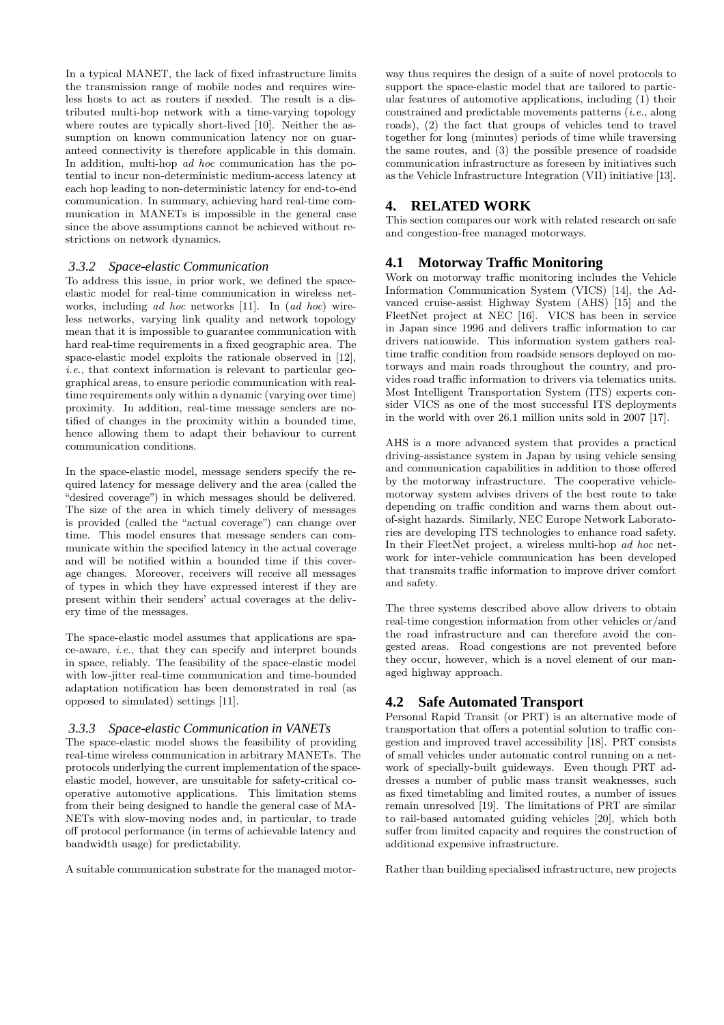In a typical MANET, the lack of fixed infrastructure limits the transmission range of mobile nodes and requires wireless hosts to act as routers if needed. The result is a distributed multi-hop network with a time-varying topology where routes are typically short-lived [10]. Neither the assumption on known communication latency nor on guaranteed connectivity is therefore applicable in this domain. In addition, multi-hop ad hoc communication has the potential to incur non-deterministic medium-access latency at each hop leading to non-deterministic latency for end-to-end communication. In summary, achieving hard real-time communication in MANETs is impossible in the general case since the above assumptions cannot be achieved without restrictions on network dynamics.

#### *3.3.2 Space-elastic Communication*

To address this issue, in prior work, we defined the spaceelastic model for real-time communication in wireless networks, including ad hoc networks [11]. In (ad hoc) wireless networks, varying link quality and network topology mean that it is impossible to guarantee communication with hard real-time requirements in a fixed geographic area. The space-elastic model exploits the rationale observed in [12], *i.e.*, that context information is relevant to particular geographical areas, to ensure periodic communication with realtime requirements only within a dynamic (varying over time) proximity. In addition, real-time message senders are notified of changes in the proximity within a bounded time, hence allowing them to adapt their behaviour to current communication conditions.

In the space-elastic model, message senders specify the required latency for message delivery and the area (called the "desired coverage") in which messages should be delivered. The size of the area in which timely delivery of messages is provided (called the "actual coverage") can change over time. This model ensures that message senders can communicate within the specified latency in the actual coverage and will be notified within a bounded time if this coverage changes. Moreover, receivers will receive all messages of types in which they have expressed interest if they are present within their senders' actual coverages at the delivery time of the messages.

The space-elastic model assumes that applications are space-aware, i.e., that they can specify and interpret bounds in space, reliably. The feasibility of the space-elastic model with low-jitter real-time communication and time-bounded adaptation notification has been demonstrated in real (as opposed to simulated) settings [11].

#### *3.3.3 Space-elastic Communication in VANETs*

The space-elastic model shows the feasibility of providing real-time wireless communication in arbitrary MANETs. The protocols underlying the current implementation of the spaceelastic model, however, are unsuitable for safety-critical cooperative automotive applications. This limitation stems from their being designed to handle the general case of MA-NETs with slow-moving nodes and, in particular, to trade off protocol performance (in terms of achievable latency and bandwidth usage) for predictability.

A suitable communication substrate for the managed motor-

way thus requires the design of a suite of novel protocols to support the space-elastic model that are tailored to particular features of automotive applications, including (1) their constrained and predictable movements patterns  $(i.e., along)$ roads), (2) the fact that groups of vehicles tend to travel together for long (minutes) periods of time while traversing the same routes, and (3) the possible presence of roadside communication infrastructure as foreseen by initiatives such as the Vehicle Infrastructure Integration (VII) initiative [13].

## **4. RELATED WORK**

This section compares our work with related research on safe and congestion-free managed motorways.

## **4.1 Motorway Traffic Monitoring**

Work on motorway traffic monitoring includes the Vehicle Information Communication System (VICS) [14], the Advanced cruise-assist Highway System (AHS) [15] and the FleetNet project at NEC [16]. VICS has been in service in Japan since 1996 and delivers traffic information to car drivers nationwide. This information system gathers realtime traffic condition from roadside sensors deployed on motorways and main roads throughout the country, and provides road traffic information to drivers via telematics units. Most Intelligent Transportation System (ITS) experts consider VICS as one of the most successful ITS deployments in the world with over 26.1 million units sold in 2007 [17].

AHS is a more advanced system that provides a practical driving-assistance system in Japan by using vehicle sensing and communication capabilities in addition to those offered by the motorway infrastructure. The cooperative vehiclemotorway system advises drivers of the best route to take depending on traffic condition and warns them about outof-sight hazards. Similarly, NEC Europe Network Laboratories are developing ITS technologies to enhance road safety. In their FleetNet project, a wireless multi-hop ad hoc network for inter-vehicle communication has been developed that transmits traffic information to improve driver comfort and safety.

The three systems described above allow drivers to obtain real-time congestion information from other vehicles or/and the road infrastructure and can therefore avoid the congested areas. Road congestions are not prevented before they occur, however, which is a novel element of our managed highway approach.

# **4.2 Safe Automated Transport**

Personal Rapid Transit (or PRT) is an alternative mode of transportation that offers a potential solution to traffic congestion and improved travel accessibility [18]. PRT consists of small vehicles under automatic control running on a network of specially-built guideways. Even though PRT addresses a number of public mass transit weaknesses, such as fixed timetabling and limited routes, a number of issues remain unresolved [19]. The limitations of PRT are similar to rail-based automated guiding vehicles [20], which both suffer from limited capacity and requires the construction of additional expensive infrastructure.

Rather than building specialised infrastructure, new projects